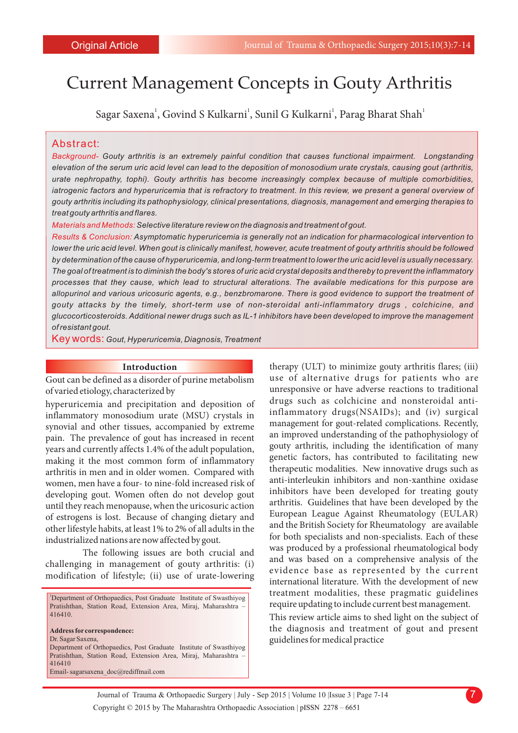# Current Management Concepts in Gouty Arthritis

Sagar Saxena<sup>1</sup>, Govind S Kulkarni<sup>1</sup>, Sunil G Kulkarni<sup>1</sup>, Parag Bharat Shah<sup>1</sup>

#### Abstract:

*Background- Gouty arthritis is an extremely painful condition that causes functional impairment. Longstanding elevation of the serum uric acid level can lead to the deposition of monosodium urate crystals, causing gout (arthritis, urate nephropathy, tophi). Gouty arthritis has become increasingly complex because of multiple comorbidities, iatrogenic factors and hyperuricemia that is refractory to treatment. In this review, we present a general overview of gouty arthritis including its pathophysiology, clinical presentations, diagnosis, management and emerging therapies to treat gouty arthritis and flares.*

*Materials and Methods:Selective literature review on the diagnosis and treatment of gout.*

*Results & Conclusion: Asymptomatic hyperuricemia is generally not an indication for pharmacological intervention to lower the uric acid level. When gout is clinically manifest, however, acute treatment of gouty arthritis should be followed by determination of the cause of hyperuricemia, and long-term treatment to lower the uric acid level is usually necessary. The goal of treatment is to diminish the body's stores of uric acid crystal deposits and thereby to prevent the inflammatory processes that they cause, which lead to structural alterations. The available medications for this purpose are allopurinol and various uricosuric agents, e.g., benzbromarone. There is good evidence to support the treatment of gouty attacks by the timely, short-term use of non-steroidal anti-inflammatory drugs , colchicine, and glucocorticosteroids. Additional newer drugs such as IL-1 inhibitors have been developed to improve the management of resistant gout.*

Key words: *Gout, Hyperuricemia, Diagnosis, Treatment*

#### **Introduction**

Gout can be defined as a disorder of purine metabolism of varied etiology, characterized by

hyperuricemia and precipitation and deposition of inflammatory monosodium urate (MSU) crystals in synovial and other tissues, accompanied by extreme pain. The prevalence of gout has increased in recent years and currently affects 1.4% of the adult population, making it the most common form of inflammatory arthritis in men and in older women. Compared with women, men have a four- to nine-fold increased risk of developing gout. Women often do not develop gout until they reach menopause, when the uricosuric action of estrogens is lost. Because of changing dietary and other lifestyle habits, at least 1% to 2% of all adults in the industrialized nations are now affected by gout.

The following issues are both crucial and challenging in management of gouty arthritis: (i) modification of lifestyle; (ii) use of urate-lowering

<sup>1</sup>Department of Orthopaedics, Post Graduate Institute of Swasthiyog Pratishthan, Station Road, Extension Area, Miraj, Maharashtra – 416410. **Address for correspondence:**  Dr. Sagar Saxena, Department of Orthopaedics, Post Graduate Institute of Swasthiyog Pratishthan, Station Road, Extension Area, Miraj, Maharashtra – 416410

Email- sagarsaxena\_doc@rediffmail.com

therapy (ULT) to minimize gouty arthritis flares; (iii) use of alternative drugs for patients who are unresponsive or have adverse reactions to traditional drugs such as colchicine and nonsteroidal antiinflammatory drugs(NSAIDs); and (iv) surgical management for gout-related complications. Recently, an improved understanding of the pathophysiology of gouty arthritis, including the identification of many genetic factors, has contributed to facilitating new therapeutic modalities. New innovative drugs such as anti-interleukin inhibitors and non-xanthine oxidase inhibitors have been developed for treating gouty arthritis. Guidelines that have been developed by the European League Against Rheumatology (EULAR) and the British Society for Rheumatology are available for both specialists and non-specialists. Each of these was produced by a professional rheumatological body and was based on a comprehensive analysis of the evidence base as represented by the current international literature. With the development of new treatment modalities, these pragmatic guidelines require updating to include current best management.

This review article aims to shed light on the subject of the diagnosis and treatment of gout and present guidelines for medical practice

Journal of Trauma & Orthopaedic Surgery | July - Sep 2015 | Volume 10 |Issue 3 | Page 7-14 Copyright © 2015 by The Maharashtra Orthopaedic Association |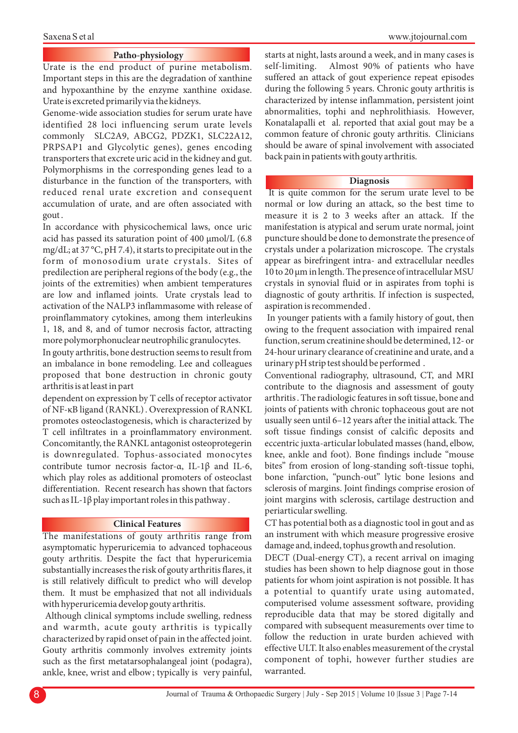#### **Patho-physiology**

Urate is the end product of purine metabolism. Important steps in this are the degradation of xanthine and hypoxanthine by the enzyme xanthine oxidase. Urate is excreted primarily via the kidneys.

Genome-wide association studies for serum urate have identified 28 loci influencing serum urate levels commonly SLC2A9, ABCG2, PDZK1, SLC22A12, PRPSAP1 and Glycolytic genes), genes encoding transporters that excrete uric acid in the kidney and gut. Polymorphisms in the corresponding genes lead to a disturbance in the function of the transporters, with reduced renal urate excretion and consequent accumulation of urate, and are often associated with gout .

In accordance with physicochemical laws, once uric acid has passed its saturation point of 400  $\mu$ mol/L (6.8) mg/dL; at 37 °C, pH 7.4), it starts to precipitate out in the form of monosodium urate crystals. Sites of predilection are peripheral regions of the body (e.g., the joints of the extremities) when ambient temperatures are low and inflamed joints. Urate crystals lead to activation of the NALP3 inflammasome with release of proinflammatory cytokines, among them interleukins 1, 18, and 8, and of tumor necrosis factor, attracting more polymorphonuclear neutrophilic granulocytes.

In gouty arthritis, bone destruction seems to result from an imbalance in bone remodeling. Lee and colleagues proposed that bone destruction in chronic gouty arthritis is at least in part

dependent on expression by T cells of receptor activator of NF-κB ligand (RANKL) . Overexpression of RANKL promotes osteoclastogenesis, which is characterized by T cell infiltrates in a proinflammatory environment. Concomitantly, the RANKL antagonist osteoprotegerin is downregulated. Tophus-associated monocytes contribute tumor necrosis factor-α, IL-1β and IL-6, which play roles as additional promoters of osteoclast differentiation. Recent research has shown that factors such as IL-1 $\beta$  play important roles in this pathway.

#### **Clinical Features**

The manifestations of gouty arthritis range from asymptomatic hyperuricemia to advanced tophaceous gouty arthritis. Despite the fact that hyperuricemia substantially increases the risk of gouty arthritis flares, it is still relatively difficult to predict who will develop them. It must be emphasized that not all individuals with hyperuricemia develop gouty arthritis.

Although clinical symptoms include swelling, redness and warmth, acute gouty arthritis is typically characterized by rapid onset of pain in the affected joint. Gouty arthritis commonly involves extremity joints such as the first metatarsophalangeal joint (podagra), ankle, knee, wrist and elbow ; typically is very painful, starts at night, lasts around a week, and in many cases is self-limiting. Almost 90% of patients who have suffered an attack of gout experience repeat episodes during the following 5 years. Chronic gouty arthritis is characterized by intense inflammation, persistent joint abnormalities, tophi and nephrolithiasis. However, Konatalapalli et al. reported that axial gout may be a common feature of chronic gouty arthritis. Clinicians should be aware of spinal involvement with associated back pain in patients with gouty arthritis.

#### **Diagnosis**

It is quite common for the serum urate level to be normal or low during an attack, so the best time to measure it is 2 to 3 weeks after an attack. If the manifestation is atypical and serum urate normal, joint puncture should be done to demonstrate the presence of crystals under a polarization microscope. The crystals appear as birefringent intra- and extracellular needles 10 to 20 µm in length. The presence of intracellular MSU crystals in synovial fluid or in aspirates from tophi is diagnostic of gouty arthritis. If infection is suspected, aspiration is recommended .

In younger patients with a family history of gout, then owing to the frequent association with impaired renal function, serum creatinine should be determined, 12- or 24-hour urinary clearance of creatinine and urate, and a urinary pH strip test should be performed .

Conventional radiography, ultrasound, CT, and MRI contribute to the diagnosis and assessment of gouty arthritis . The radiologic features in soft tissue, bone and joints of patients with chronic tophaceous gout are not usually seen until 6–12 years after the initial attack. The soft tissue findings consist of calcific deposits and eccentric juxta-articular lobulated masses (hand, elbow, knee, ankle and foot). Bone findings include "mouse bites" from erosion of long-standing soft-tissue tophi, bone infarction, "punch-out" lytic bone lesions and sclerosis of margins. Joint findings comprise erosion of joint margins with sclerosis, cartilage destruction and periarticular swelling.

CT has potential both as a diagnostic tool in gout and as an instrument with which measure progressive erosive damage and, indeed, tophus growth and resolution.

DECT (Dual-energy CT), a recent arrival on imaging studies has been shown to help diagnose gout in those patients for whom joint aspiration is not possible. It has a potential to quantify urate using automated, computerised volume assessment software, providing reproducible data that may be stored digitally and compared with subsequent measurements over time to follow the reduction in urate burden achieved with effective ULT. It also enables measurement of the crystal component of tophi, however further studies are warranted.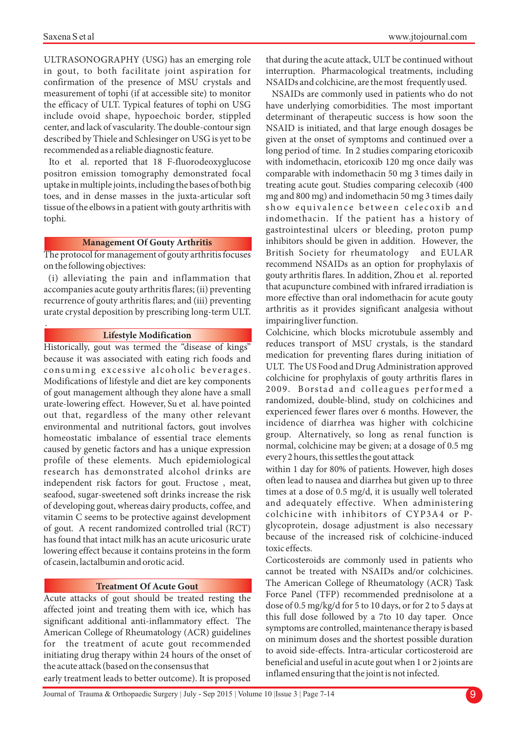.

ULTRASONOGRAPHY (USG) has an emerging role in gout, to both facilitate joint aspiration for confirmation of the presence of MSU crystals and measurement of tophi (if at accessible site) to monitor the efficacy of ULT. Typical features of tophi on USG include ovoid shape, hypoechoic border, stippled center, and lack of vascularity. The double-contour sign described by Thiele and Schlesinger on USG is yet to be recommended as a reliable diagnostic feature.

Ito et al. reported that 18 F-fluorodeoxyglucose positron emission tomography demonstrated focal uptake in multiple joints, including the bases of both big toes, and in dense masses in the juxta-articular soft tissue of the elbows in a patient with gouty arthritis with tophi.

# **Management Of Gouty Arthritis**

The protocol for management of gouty arthritis focuses on the following objectives:

(i) alleviating the pain and inflammation that accompanies acute gouty arthritis flares; (ii) preventing recurrence of gouty arthritis flares; and (iii) preventing urate crystal deposition by prescribing long-term ULT.

### **Lifestyle Modification**

Historically, gout was termed the "disease of kings" because it was associated with eating rich foods and consuming excessive alcoholic beverages. Modifications of lifestyle and diet are key components of gout management although they alone have a small urate-lowering effect. However, Su et al. have pointed out that, regardless of the many other relevant environmental and nutritional factors, gout involves homeostatic imbalance of essential trace elements caused by genetic factors and has a unique expression profile of these elements. Much epidemiological research has demonstrated alcohol drinks are independent risk factors for gout. Fructose , meat, seafood, sugar-sweetened soft drinks increase the risk of developing gout, whereas dairy products, coffee, and vitamin C seems to be protective against development of gout. A recent randomized controlled trial (RCT) has found that intact milk has an acute uricosuric urate lowering effect because it contains proteins in the form of casein, lactalbumin and orotic acid.

# **Treatment Of Acute Gout**

Acute attacks of gout should be treated resting the affected joint and treating them with ice, which has significant additional anti-inflammatory effect. The American College of Rheumatology (ACR) guidelines for the treatment of acute gout recommended initiating drug therapy within 24 hours of the onset of the acute attack (based on the consensus that early treatment leads to better outcome). It is proposed

that during the acute attack, ULT be continued without interruption. Pharmacological treatments, including NSAIDs and colchicine, are the most frequently used.

NSAIDs are commonly used in patients who do not have underlying comorbidities. The most important determinant of therapeutic success is how soon the NSAID is initiated, and that large enough dosages be given at the onset of symptoms and continued over a long period of time. In 2 studies comparing etoricoxib with indomethacin, etoricoxib 120 mg once daily was comparable with indomethacin 50 mg 3 times daily in treating acute gout. Studies comparing celecoxib (400 mg and 800 mg) and indomethacin 50 mg 3 times daily show equivalence between celecoxib and indomethacin. If the patient has a history of gastrointestinal ulcers or bleeding, proton pump inhibitors should be given in addition. However, the British Society for rheumatology and EULAR recommend NSAIDs as an option for prophylaxis of gouty arthritis flares. In addition, Zhou et al. reported that acupuncture combined with infrared irradiation is more effective than oral indomethacin for acute gouty arthritis as it provides significant analgesia without impairing liver function.

Colchicine, which blocks microtubule assembly and reduces transport of MSU crystals, is the standard medication for preventing flares during initiation of ULT. The US Food and Drug Administration approved colchicine for prophylaxis of gouty arthritis flares in 2009. Borstad and colleagues performed a randomized, double-blind, study on colchicines and experienced fewer flares over 6 months. However, the incidence of diarrhea was higher with colchicine group. Alternatively, so long as renal function is normal, colchicine may be given; at a dosage of 0.5 mg every 2 hours, this settles the gout attack

within 1 day for 80% of patients. However, high doses often lead to nausea and diarrhea but given up to three times at a dose of 0.5 mg/d, it is usually well tolerated and adequately effective. When administering colchicine with inhibitors of CYP3A4 or Pglycoprotein, dosage adjustment is also necessary because of the increased risk of colchicine-induced toxic effects.

Corticosteroids are commonly used in patients who cannot be treated with NSAIDs and/or colchicines. The American College of Rheumatology (ACR) Task Force Panel (TFP) recommended prednisolone at a dose of 0.5 mg/kg/d for 5 to 10 days, or for 2 to 5 days at this full dose followed by a 7to 10 day taper. Once symptoms are controlled, maintenance therapy is based on minimum doses and the shortest possible duration to avoid side-effects. Intra-articular corticosteroid are beneficial and useful in acute gout when 1 or 2 joints are inflamed ensuring that the joint is not infected.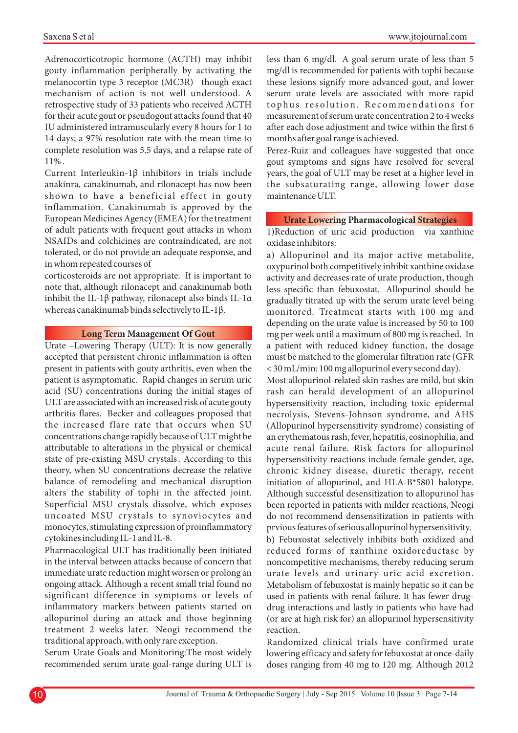Adrenocorticotropic hormone (ACTH) may inhibit gouty inflammation peripherally by activating the melanocortin type 3 receptor (MC3R) though exact mechanism of action is not well understood. A retrospective study of 33 patients who received ACTH for their acute gout or pseudogout attacks found that 40 IU administered intramuscularly every 8 hours for 1 to 14 days; a 97% resolution rate with the mean time to complete resolution was 5.5 days, and a relapse rate of 11% .

Current Interleukin-1β inhibitors in trials include anakinra, canakinumab, and rilonacept has now been shown to have a beneficial effect in gouty inflammation. Canakinumab is approved by the European Medicines Agency (EMEA) for the treatment of adult patients with frequent gout attacks in whom NSAIDs and colchicines are contraindicated, are not tolerated, or do not provide an adequate response, and in whom repeated courses of

corticosteroids are not appropriate. It is important to note that, although rilonacept and canakinumab both inhibit the IL-1β pathway, rilonacept also binds IL-1α whereas canakinumab binds selectively to IL-1β.

### **Long Term Management Of Gout**

Urate –Lowering Therapy (ULT): It is now generally accepted that persistent chronic inflammation is often present in patients with gouty arthritis, even when the patient is asymptomatic. Rapid changes in serum uric acid (SU) concentrations during the initial stages of ULT are associated with an increased risk of acute gouty arthritis flares. Becker and colleagues proposed that the increased flare rate that occurs when SU concentrations change rapidly because of ULT might be attributable to alterations in the physical or chemical state of pre-existing MSU crystals . According to this theory, when SU concentrations decrease the relative balance of remodeling and mechanical disruption alters the stability of tophi in the affected joint. Superficial MSU crystals dissolve, which exposes uncoated MSU crystals to synoviocytes and monocytes, stimulating expression of proinflammatory cytokines including IL-1 and IL-8.

Pharmacological ULT has traditionally been initiated in the interval between attacks because of concern that immediate urate reduction might worsen or prolong an ongoing attack. Although a recent small trial found no significant difference in symptoms or levels of inflammatory markers between patients started on allopurinol during an attack and those beginning treatment 2 weeks later. Neogi recommend the traditional approach, with only rare exception.

Serum Urate Goals and Monitoring:The most widely recommended serum urate goal-range during ULT is less than 6 mg/dl. A goal serum urate of less than 5 mg/dl is recommended for patients with tophi because these lesions signify more advanced gout, and lower serum urate levels are associated with more rapid tophus resolution. Recommendations for measurement of serum urate concentration 2 to 4 weeks after each dose adjustment and twice within the first 6 months after goal range is achieved.

Perez-Ruiz and colleagues have suggested that once gout symptoms and signs have resolved for several years, the goal of ULT may be reset at a higher level in the subsaturating range, allowing lower dose maintenance ULT.

# **Urate Lowering Pharmacological Strategies**

1)Reduction of uric acid production via xanthine oxidase inhibitors:

a) Allopurinol and its major active metabolite, oxypurinol both competitively inhibit xanthine oxidase activity and decreases rate of urate production, though less specific than febuxostat. Allopurinol should be gradually titrated up with the serum urate level being monitored. Treatment starts with 100 mg and depending on the urate value is increased by 50 to 100 mg per week until a maximum of 800 mg is reached. In a patient with reduced kidney function, the dosage must be matched to the glomerular filtration rate (GFR < 30 mL/min: 100 mg allopurinol every second day).

Most allopurinol-related skin rashes are mild, but skin rash can herald development of an allopurinol hypersensitivity reaction, including toxic epidermal necrolysis, Stevens-Johnson syndrome, and AHS (Allopurinol hypersensitivity syndrome) consisting of an erythematous rash, fever, hepatitis, eosinophilia, and acute renal failure. Risk factors for allopurinol hypersensitivity reactions include female gender, age, chronic kidney disease, diuretic therapy, recent initiation of allopurinol, and HLA-B\*5801 halotype. Although successful desensitization to allopurinol has been reported in patients with milder reactions, Neogi do not recommend densensitization in patients with prvious features of serious allopurinol hypersensitivity.

b) Febuxostat selectively inhibits both oxidized and reduced forms of xanthine oxidoreductase by noncompetitive mechanisms, thereby reducing serum urate levels and urinary uric acid excretion. Metabolism of febuxostat is mainly hepatic so it can be used in patients with renal failure. It has fewer drugdrug interactions and lastly in patients who have had (or are at high risk for) an allopurinol hypersensitivity reaction.

Randomized clinical trials have confirmed urate lowering efficacy and safety for febuxostat at once-daily doses ranging from 40 mg to 120 mg. Although 2012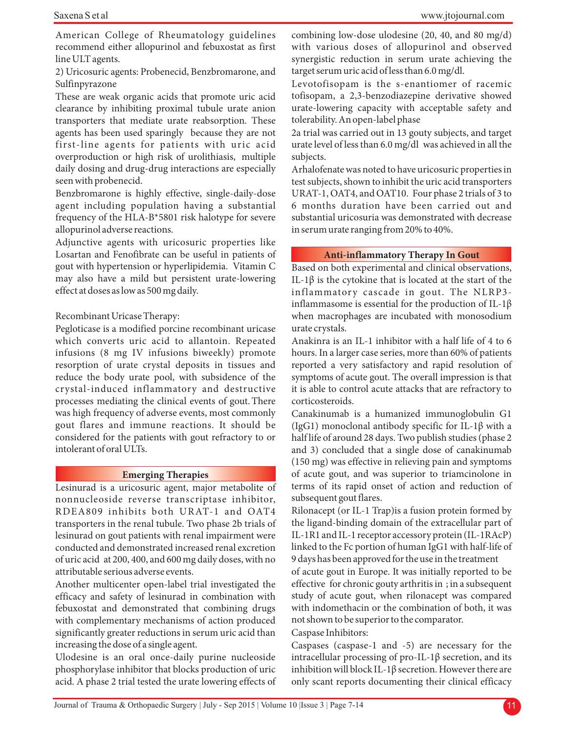American College of Rheumatology guidelines recommend either allopurinol and febuxostat as first line ULT agents.

2) Uricosuric agents: Probenecid, Benzbromarone, and Sulfinpyrazone

These are weak organic acids that promote uric acid clearance by inhibiting proximal tubule urate anion transporters that mediate urate reabsorption. These agents has been used sparingly because they are not first-line agents for patients with uric acid overproduction or high risk of urolithiasis, multiple daily dosing and drug-drug interactions are especially seen with probenecid.

Benzbromarone is highly effective, single-daily-dose agent including population having a substantial frequency of the HLA-B\*5801 risk halotype for severe allopurinol adverse reactions.

Adjunctive agents with uricosuric properties like Losartan and Fenofibrate can be useful in patients of gout with hypertension or hyperlipidemia. Vitamin C may also have a mild but persistent urate-lowering effect at doses as low as 500 mg daily.

# Recombinant Uricase Therapy:

Pegloticase is a modified porcine recombinant uricase which converts uric acid to allantoin. Repeated infusions (8 mg IV infusions biweekly) promote resorption of urate crystal deposits in tissues and reduce the body urate pool, with subsidence of the crystal-induced inflammatory and destructive processes mediating the clinical events of gout. There was high frequency of adverse events, most commonly gout flares and immune reactions. It should be considered for the patients with gout refractory to or intolerant of oral ULTs.

#### **Emerging Therapies**

Lesinurad is a uricosuric agent, major metabolite of nonnucleoside reverse transcriptase inhibitor, RDEA809 inhibits both URAT-1 and OAT4 transporters in the renal tubule. Two phase 2b trials of lesinurad on gout patients with renal impairment were conducted and demonstrated increased renal excretion of uric acid at 200, 400, and 600 mg daily doses, with no attributable serious adverse events.

Another multicenter open-label trial investigated the efficacy and safety of lesinurad in combination with febuxostat and demonstrated that combining drugs with complementary mechanisms of action produced significantly greater reductions in serum uric acid than increasing the dose of a single agent.

Ulodesine is an oral once-daily purine nucleoside phosphorylase inhibitor that blocks production of uric acid. A phase 2 trial tested the urate lowering effects of combining low-dose ulodesine (20, 40, and 80 mg/d) with various doses of allopurinol and observed synergistic reduction in serum urate achieving the target serum uric acid of less than 6.0 mg/dl.

Levotofisopam is the s-enantiomer of racemic tofisopam, a 2,3-benzodiazepine derivative showed urate-lowering capacity with acceptable safety and tolerability. An open-label phase

2a trial was carried out in 13 gouty subjects, and target urate level of less than 6.0 mg/dl was achieved in all the subjects.

Arhalofenate was noted to have uricosuric properties in test subjects, shown to inhibit the uric acid transporters URAT-1, OAT4, and OAT10. Four phase 2 trials of 3 to 6 months duration have been carried out and substantial uricosuria was demonstrated with decrease in serum urate ranging from 20% to 40%.

# **Anti-inflammatory Therapy In Gout**

Based on both experimental and clinical observations, IL-1β is the cytokine that is located at the start of the inflammatory cascade in gout. The NLRP3inflammasome is essential for the production of IL-1 $\beta$ when macrophages are incubated with monosodium urate crystals.

Anakinra is an IL-1 inhibitor with a half life of 4 to 6 hours. In a larger case series, more than 60% of patients reported a very satisfactory and rapid resolution of symptoms of acute gout. The overall impression is that it is able to control acute attacks that are refractory to corticosteroids.

Canakinumab is a humanized immunoglobulin G1 (IgG1) monoclonal antibody specific for IL-1 $\beta$  with a half life of around 28 days. Two publish studies (phase 2 and 3) concluded that a single dose of canakinumab (150 mg) was effective in relieving pain and symptoms of acute gout, and was superior to triamcinolone in terms of its rapid onset of action and reduction of subsequent gout flares.

Rilonacept (or IL-1 Trap)is a fusion protein formed by the ligand-binding domain of the extracellular part of IL-1R1 and IL-1 receptor accessory protein (IL-1RAcP) linked to the Fc portion of human IgG1 with half-life of 9 days has been approved for the use in the treatment of acute gout in Europe. It was initially reported to be effective for chronic gouty arthritis in ; in a subsequent study of acute gout, when rilonacept was compared with indomethacin or the combination of both, it was

not shown to be superior to the comparator.

# Caspase Inhibitors:

Caspases (caspase-1 and -5) are necessary for the intracellular processing of pro-IL-1β secretion, and its inhibition will block IL-1 $\beta$  secretion. However there are only scant reports documenting their clinical efficacy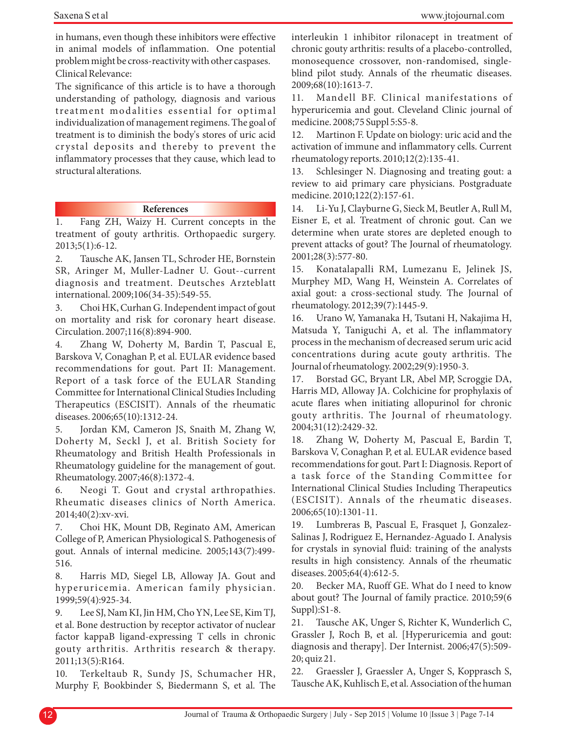in humans, even though these inhibitors were effective in animal models of inflammation. One potential problem might be cross-reactivity with other caspases. Clinical Relevance:

The significance of this article is to have a thorough understanding of pathology, diagnosis and various treatment modalities essential for optimal individualization of management regimens. The goal of treatment is to diminish the body's stores of uric acid cr ystal deposits and thereby to prevent the inflammatory processes that they cause, which lead to structural alterations.

# **References**

1. Fang ZH, Waizy H. Current concepts in the treatment of gouty arthritis. Orthopaedic surgery. 2013;5(1):6-12.

2. Tausche AK, Jansen TL, Schroder HE, Bornstein SR, Aringer M, Muller-Ladner U. Gout--current diagnosis and treatment. Deutsches Arzteblatt international. 2009;106(34-35):549-55.

3. Choi HK, Curhan G. Independent impact of gout on mortality and risk for coronary heart disease. Circulation. 2007;116(8):894-900.

4. Zhang W, Doherty M, Bardin T, Pascual E, Barskova V, Conaghan P, et al. EULAR evidence based recommendations for gout. Part II: Management. Report of a task force of the EULAR Standing Committee for International Clinical Studies Including Therapeutics (ESCISIT). Annals of the rheumatic diseases. 2006;65(10):1312-24.

5. Jordan KM, Cameron JS, Snaith M, Zhang W, Doherty M, Seckl J, et al. British Society for Rheumatology and British Health Professionals in Rheumatology guideline for the management of gout. Rheumatology. 2007;46(8):1372-4.

6. Neogi T. Gout and crystal arthropathies. Rheumatic diseases clinics of North America. 2014;40(2):xv-xvi.

7. Choi HK, Mount DB, Reginato AM, American College of P, American Physiological S. Pathogenesis of gout. Annals of internal medicine. 2005;143(7):499- 516.

8. Harris MD, Siegel LB, Alloway JA. Gout and hyperuricemia. American family physician. 1999;59(4):925-34.

9. Lee SJ, Nam KI, Jin HM, Cho YN, Lee SE, Kim TJ, et al. Bone destruction by receptor activator of nuclear factor kappaB ligand-expressing T cells in chronic gouty arthritis. Arthritis research & therapy. 2011;13(5):R164.

10. Terkeltaub R, Sundy JS, Schumacher HR, Murphy F, Bookbinder S, Biedermann S, et al. The interleukin 1 inhibitor rilonacept in treatment of chronic gouty arthritis: results of a placebo-controlled, monosequence crossover, non-randomised, singleblind pilot study. Annals of the rheumatic diseases. 2009;68(10):1613-7.

11. Mandell BF. Clinical manifestations of hyperuricemia and gout. Cleveland Clinic journal of medicine. 2008;75 Suppl 5:S5-8.

12. Martinon F. Update on biology: uric acid and the activation of immune and inflammatory cells. Current rheumatology reports. 2010;12(2):135-41.

13. Schlesinger N. Diagnosing and treating gout: a review to aid primary care physicians. Postgraduate medicine. 2010;122(2):157-61.

14. Li-Yu J, Clayburne G, Sieck M, Beutler A, Rull M, Eisner E, et al. Treatment of chronic gout. Can we determine when urate stores are depleted enough to prevent attacks of gout? The Journal of rheumatology. 2001;28(3):577-80.

15. Konatalapalli RM, Lumezanu E, Jelinek JS, Murphey MD, Wang H, Weinstein A. Correlates of axial gout: a cross-sectional study. The Journal of rheumatology. 2012;39(7):1445-9.

16. Urano W, Yamanaka H, Tsutani H, Nakajima H, Matsuda Y, Taniguchi A, et al. The inflammatory process in the mechanism of decreased serum uric acid concentrations during acute gouty arthritis. The Journal of rheumatology. 2002;29(9):1950-3.

17. Borstad GC, Bryant LR, Abel MP, Scroggie DA, Harris MD, Alloway JA. Colchicine for prophylaxis of acute flares when initiating allopurinol for chronic gouty arthritis. The Journal of rheumatology. 2004;31(12):2429-32.

18. Zhang W, Doherty M, Pascual E, Bardin T, Barskova V, Conaghan P, et al. EULAR evidence based recommendations for gout. Part I: Diagnosis. Report of a task force of the Standing Committee for International Clinical Studies Including Therapeutics (ESCISIT). Annals of the rheumatic diseases. 2006;65(10):1301-11.

19. Lumbreras B, Pascual E, Frasquet J, Gonzalez-Salinas J, Rodriguez E, Hernandez-Aguado I. Analysis for crystals in synovial fluid: training of the analysts results in high consistency. Annals of the rheumatic diseases. 2005;64(4):612-5.

20. Becker MA, Ruoff GE. What do I need to know about gout? The Journal of family practice. 2010;59(6 Suppl):S1-8.

21. Tausche AK, Unger S, Richter K, Wunderlich C, Grassler J, Roch B, et al. [Hyperuricemia and gout: diagnosis and therapy]. Der Internist. 2006;47(5):509- 20; quiz 21.

22. Graessler J, Graessler A, Unger S, Kopprasch S, Tausche AK, Kuhlisch E, et al. Association of the human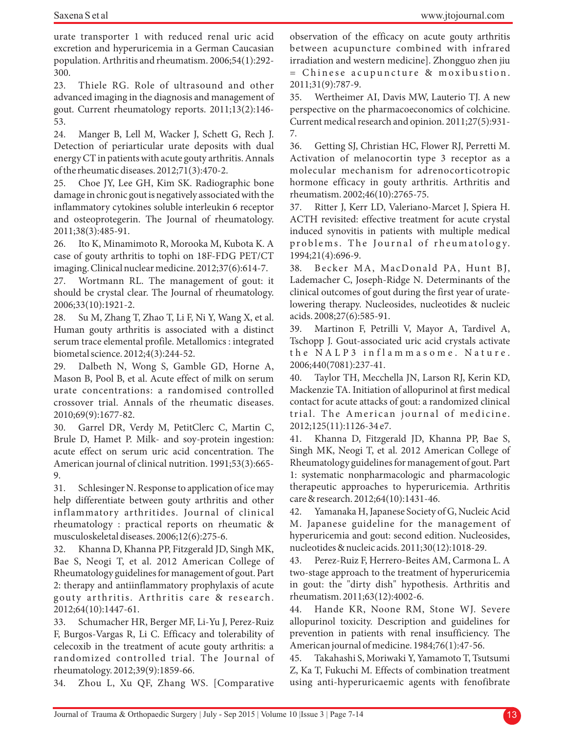urate transporter 1 with reduced renal uric acid excretion and hyperuricemia in a German Caucasian population. Arthritis and rheumatism. 2006;54(1):292- 300.

23. Thiele RG. Role of ultrasound and other advanced imaging in the diagnosis and management of gout. Current rheumatology reports. 2011;13(2):146- 53.

24. Manger B, Lell M, Wacker J, Schett G, Rech J. Detection of periarticular urate deposits with dual energy CT in patients with acute gouty arthritis. Annals of the rheumatic diseases. 2012;71(3):470-2.

25. Choe JY, Lee GH, Kim SK. Radiographic bone damage in chronic gout is negatively associated with the inflammatory cytokines soluble interleukin 6 receptor and osteoprotegerin. The Journal of rheumatology. 2011;38(3):485-91.

26. Ito K, Minamimoto R, Morooka M, Kubota K. A case of gouty arthritis to tophi on 18F-FDG PET/CT imaging. Clinical nuclear medicine. 2012;37(6):614-7.

27. Wortmann RL. The management of gout: it should be crystal clear. The Journal of rheumatology. 2006;33(10):1921-2.

28. Su M, Zhang T, Zhao T, Li F, Ni Y, Wang X, et al. Human gouty arthritis is associated with a distinct serum trace elemental profile. Metallomics : integrated biometal science. 2012;4(3):244-52.

29. Dalbeth N, Wong S, Gamble GD, Horne A, Mason B, Pool B, et al. Acute effect of milk on serum urate concentrations: a randomised controlled crossover trial. Annals of the rheumatic diseases. 2010;69(9):1677-82.

30. Garrel DR, Verdy M, PetitClerc C, Martin C, Brule D, Hamet P. Milk- and soy-protein ingestion: acute effect on serum uric acid concentration. The American journal of clinical nutrition. 1991;53(3):665- 9.

31. Schlesinger N. Response to application of ice may help differentiate between gouty arthritis and other inflammatory arthritides. Journal of clinical rheumatology : practical reports on rheumatic & musculoskeletal diseases. 2006;12(6):275-6.

32. Khanna D, Khanna PP, Fitzgerald JD, Singh MK, Bae S, Neogi T, et al. 2012 American College of Rheumatology guidelines for management of gout. Part 2: therapy and antiinflammatory prophylaxis of acute gouty arthritis. Arthritis care & research. 2012;64(10):1447-61.

33. Schumacher HR, Berger MF, Li-Yu J, Perez-Ruiz F, Burgos-Vargas R, Li C. Efficacy and tolerability of celecoxib in the treatment of acute gouty arthritis: a randomized controlled trial. The Journal of rheumatology. 2012;39(9):1859-66.

34. Zhou L, Xu QF, Zhang WS. [Comparative

observation of the efficacy on acute gouty arthritis between acupuncture combined with infrared irradiation and western medicine]. Zhongguo zhen jiu = Chinese a cupuncture & moxibustion. 2011;31(9):787-9.

35. Wertheimer AI, Davis MW, Lauterio TJ. A new perspective on the pharmacoeconomics of colchicine. Current medical research and opinion. 2011;27(5):931- 7.

36. Getting SJ, Christian HC, Flower RJ, Perretti M. Activation of melanocortin type 3 receptor as a molecular mechanism for adrenocorticotropic hormone efficacy in gouty arthritis. Arthritis and rheumatism. 2002;46(10):2765-75.

37. Ritter J, Kerr LD, Valeriano-Marcet J, Spiera H. ACTH revisited: effective treatment for acute crystal induced synovitis in patients with multiple medical problems. The Journal of rheumatology. 1994;21(4):696-9.

38. Becker MA, MacDonald PA, Hunt BJ, Lademacher C, Joseph-Ridge N. Determinants of the clinical outcomes of gout during the first year of uratelowering therapy. Nucleosides, nucleotides & nucleic acids. 2008;27(6):585-91.

39. Martinon F, Petrilli V, Mayor A, Tardivel A, Tschopp J. Gout-associated uric acid crystals activate the NALP3 inflammasome. Nature. 2006;440(7081):237-41.

40. Taylor TH, Mecchella JN, Larson RJ, Kerin KD, Mackenzie TA. Initiation of allopurinol at first medical contact for acute attacks of gout: a randomized clinical trial. The American journal of medicine. 2012;125(11):1126-34 e7.

41. Khanna D, Fitzgerald JD, Khanna PP, Bae S, Singh MK, Neogi T, et al. 2012 American College of Rheumatology guidelines for management of gout. Part 1: systematic nonpharmacologic and pharmacologic therapeutic approaches to hyperuricemia. Arthritis care & research. 2012;64(10):1431-46.

42. Yamanaka H, Japanese Society of G, Nucleic Acid M. Japanese guideline for the management of hyperuricemia and gout: second edition. Nucleosides, nucleotides & nucleic acids. 2011;30(12):1018-29.

43. Perez-Ruiz F, Herrero-Beites AM, Carmona L. A two-stage approach to the treatment of hyperuricemia in gout: the "dirty dish" hypothesis. Arthritis and rheumatism. 2011;63(12):4002-6.

44. Hande KR, Noone RM, Stone WJ. Severe allopurinol toxicity. Description and guidelines for prevention in patients with renal insufficiency. The American journal of medicine. 1984;76(1):47-56.

45. Takahashi S, Moriwaki Y, Yamamoto T, Tsutsumi Z, Ka T, Fukuchi M. Effects of combination treatment using anti-hyperuricaemic agents with fenofibrate